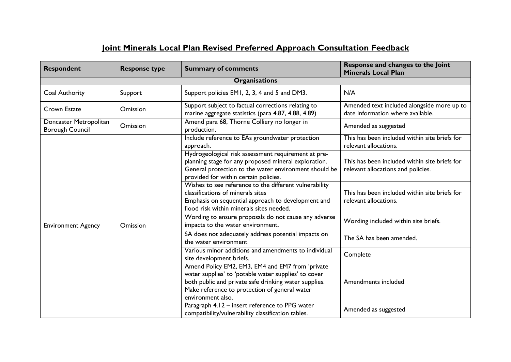## **Joint Minerals Local Plan Revised Preferred Approach Consultation Feedback**

| <b>Respondent</b>                                | <b>Response type</b> | <b>Summary of comments</b>                                                                                                                                                                                                              | Response and changes to the Joint<br><b>Minerals Local Plan</b>                     |
|--------------------------------------------------|----------------------|-----------------------------------------------------------------------------------------------------------------------------------------------------------------------------------------------------------------------------------------|-------------------------------------------------------------------------------------|
|                                                  |                      | <b>Organisations</b>                                                                                                                                                                                                                    |                                                                                     |
| Coal Authority                                   | Support              | Support policies EM1, 2, 3, 4 and 5 and DM3.                                                                                                                                                                                            | N/A                                                                                 |
| Crown Estate                                     | Omission             | Support subject to factual corrections relating to<br>marine aggregate statistics (para 4.87, 4.88, 4.89)                                                                                                                               | Amended text included alongside more up to<br>date information where available.     |
| Doncaster Metropolitan<br><b>Borough Council</b> | Omission             | Amend para 68, Thorne Colliery no longer in<br>production.                                                                                                                                                                              | Amended as suggested                                                                |
| <b>Environment Agency</b>                        |                      | Include reference to EAs groundwater protection<br>approach.                                                                                                                                                                            | This has been included within site briefs for<br>relevant allocations.              |
|                                                  | Omission             | Hydrogeological risk assessment requirement at pre-<br>planning stage for any proposed mineral exploration.<br>General protection to the water environment should be<br>provided for within certain policies.                           | This has been included within site briefs for<br>relevant allocations and policies. |
|                                                  |                      | Wishes to see reference to the different vulnerability<br>classifications of minerals sites<br>Emphasis on sequential approach to development and<br>flood risk within minerals sites needed.                                           | This has been included within site briefs for<br>relevant allocations.              |
|                                                  |                      | Wording to ensure proposals do not cause any adverse<br>impacts to the water environment.                                                                                                                                               | Wording included within site briefs.                                                |
|                                                  |                      | SA does not adequately address potential impacts on<br>the water environment                                                                                                                                                            | The SA has been amended.                                                            |
|                                                  |                      | Various minor additions and amendments to individual<br>site development briefs.                                                                                                                                                        | Complete                                                                            |
|                                                  |                      | Amend Policy EM2, EM3, EM4 and EM7 from 'private<br>water supplies' to 'potable water supplies' to cover<br>both public and private safe drinking water supplies.<br>Make reference to protection of general water<br>environment also. | Amendments included                                                                 |
|                                                  |                      | Paragraph 4.12 - insert reference to PPG water<br>compatibility/vulnerability classification tables.                                                                                                                                    | Amended as suggested                                                                |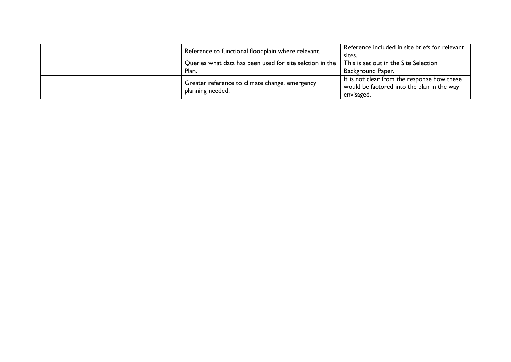|  | Reference to functional floodplain where relevant.                 | Reference included in site briefs for relevant<br>sites.                                                |
|--|--------------------------------------------------------------------|---------------------------------------------------------------------------------------------------------|
|  | Queries what data has been used for site selction in the<br>Plan.  | This is set out in the Site Selection<br>Background Paper.                                              |
|  | Greater reference to climate change, emergency<br>planning needed. | It is not clear from the response how these<br>would be factored into the plan in the way<br>envisaged. |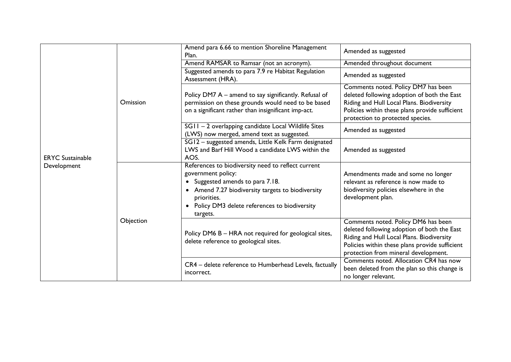|                         |           | Amend para 6.66 to mention Shoreline Management<br>Plan.                                                                                                                                                                                                             | Amended as suggested                                                                                                                                                                                                      |
|-------------------------|-----------|----------------------------------------------------------------------------------------------------------------------------------------------------------------------------------------------------------------------------------------------------------------------|---------------------------------------------------------------------------------------------------------------------------------------------------------------------------------------------------------------------------|
|                         |           | Amend RAMSAR to Ramsar (not an acronym).                                                                                                                                                                                                                             | Amended throughout document                                                                                                                                                                                               |
|                         |           | Suggested amends to para 7.9 re Habitat Regulation<br>Assessment (HRA).                                                                                                                                                                                              | Amended as suggested                                                                                                                                                                                                      |
|                         | Omission  | Policy DM7 A – amend to say significantly. Refusal of<br>permission on these grounds would need to be based<br>on a significant rather than insignificant imp-act.                                                                                                   | Comments noted. Policy DM7 has been<br>deleted following adoption of both the East<br>Riding and Hull Local Plans. Biodiversity<br>Policies within these plans provide sufficient<br>protection to protected species.     |
|                         |           | SG11-2 overlapping candidate Local Wildlife Sites<br>(LWS) now merged, amend text as suggested.                                                                                                                                                                      | Amended as suggested                                                                                                                                                                                                      |
| <b>ERYC</b> Sustainable |           | SG12 - suggested amends, Little Kelk Farm designated<br>LWS and Barf Hill Wood a candidate LWS within the<br>AOS.                                                                                                                                                    | Amended as suggested                                                                                                                                                                                                      |
| Development             | Objection | References to biodiversity need to reflect current<br>government policy:<br>Suggested amends to para 7.18.<br>$\bullet$<br>• Amend 7.27 biodiversity targets to biodiversity<br>priorities.<br>Policy DM3 delete references to biodiversity<br>$\bullet$<br>targets. | Amendments made and some no longer<br>relevant as reference is now made to<br>biodiversity policies elsewhere in the<br>development plan.                                                                                 |
|                         |           | Policy DM6 B - HRA not required for geological sites,<br>delete reference to geological sites.                                                                                                                                                                       | Comments noted. Policy DM6 has been<br>deleted following adoption of both the East<br>Riding and Hull Local Plans. Biodiversity<br>Policies within these plans provide sufficient<br>protection from mineral development. |
|                         |           | CR4 - delete reference to Humberhead Levels, factually<br>incorrect.                                                                                                                                                                                                 | Comments noted. Allocation CR4 has now<br>been deleted from the plan so this change is<br>no longer relevant.                                                                                                             |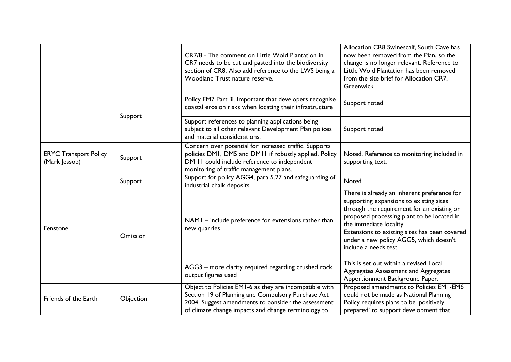|                                               |           | CR7/8 - The comment on Little Wold Plantation in<br>CR7 needs to be cut and pasted into the biodiversity<br>section of CR8. Also add reference to the LWS being a<br>Woodland Trust nature reserve.                        | Allocation CR8 Swinescaif, South Cave has<br>now been removed from the Plan, so the<br>change is no longer relevant. Reference to<br>Little Wold Plantation has been removed<br>from the site brief for Allocation CR7,<br>Greenwick.                                                                                             |
|-----------------------------------------------|-----------|----------------------------------------------------------------------------------------------------------------------------------------------------------------------------------------------------------------------------|-----------------------------------------------------------------------------------------------------------------------------------------------------------------------------------------------------------------------------------------------------------------------------------------------------------------------------------|
|                                               |           | Policy EM7 Part iii. Important that developers recognise<br>coastal erosion risks when locating their infrastructure                                                                                                       | Support noted                                                                                                                                                                                                                                                                                                                     |
|                                               | Support   | Support references to planning applications being<br>subject to all other relevant Development Plan polices<br>and material considerations.                                                                                | Support noted                                                                                                                                                                                                                                                                                                                     |
| <b>ERYC Transport Policy</b><br>(Mark Jessop) | Support   | Concern over potential for increased traffic. Supports<br>policies DMI, DM5 and DM11 if robustly applied. Policy<br>DM 11 could include reference to independent<br>monitoring of traffic management plans.                | Noted. Reference to monitoring included in<br>supporting text.                                                                                                                                                                                                                                                                    |
|                                               | Support   | Support for policy AGG4, para 5.27 and safeguarding of<br>industrial chalk deposits                                                                                                                                        | Noted.                                                                                                                                                                                                                                                                                                                            |
| Fenstone                                      | Omission  | NAMI - include preference for extensions rather than<br>new quarries                                                                                                                                                       | There is already an inherent preference for<br>supporting expansions to existing sites<br>through the requirement for an existing or<br>proposed processing plant to be located in<br>the immediate locality.<br>Extensions to existing sites has been covered<br>under a new policy AGG5, which doesn't<br>include a needs test. |
|                                               |           | AGG3 - more clarity required regarding crushed rock<br>output figures used                                                                                                                                                 | This is set out within a revised Local<br>Aggregates Assessment and Aggregates<br>Apportionment Background Paper.                                                                                                                                                                                                                 |
| Friends of the Earth                          | Objection | Object to Policies EM1-6 as they are incompatible with<br>Section 19 of Planning and Compulsory Purchase Act<br>2004. Suggest amendments to consider the assessment<br>of climate change impacts and change terminology to | Proposed amendments to Policies EMI-EM6<br>could not be made as National Planning<br>Policy requires plans to be 'positively<br>prepared' to support development that                                                                                                                                                             |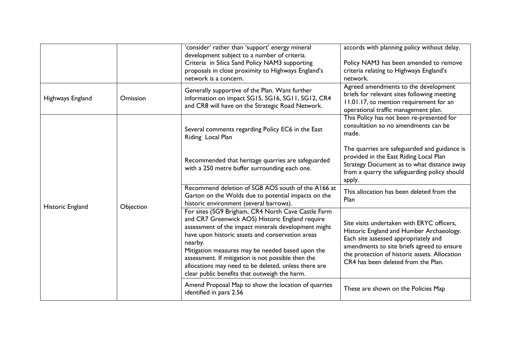|                  |           | 'consider' rather than 'support' energy mineral<br>development subject to a number of criteria.<br>Criteria in Silica Sand Policy NAM3 supporting<br>proposals in close proximity to Highways England's<br>network is a concern.                                                                                                                                                                                                               | accords with planning policy without delay.<br>Policy NAM3 has been amended to remove<br>criteria relating to Highways England's<br>network.                                                                                                                         |
|------------------|-----------|------------------------------------------------------------------------------------------------------------------------------------------------------------------------------------------------------------------------------------------------------------------------------------------------------------------------------------------------------------------------------------------------------------------------------------------------|----------------------------------------------------------------------------------------------------------------------------------------------------------------------------------------------------------------------------------------------------------------------|
| Highways England | Omission  | Generally supportive of the Plan. Want further<br>information on impact SG15, SG16, SG11, SG12, CR4<br>and CR8 will have on the Strategic Road Network.                                                                                                                                                                                                                                                                                        | Agreed amendments to the development<br>briefs for relevant sites following meeting<br>11.01.17, to mention requirement for an<br>operational traffic management plan.                                                                                               |
|                  |           | Several comments regarding Policy EC6 in the East<br>Riding Local Plan                                                                                                                                                                                                                                                                                                                                                                         | This Policy has not been re-presented for<br>consultation so no amendments can be<br>made.                                                                                                                                                                           |
| Historic England | Objection | Recommended that heritage quarries are safeguarded<br>with a 250 metre buffer surrounding each one.                                                                                                                                                                                                                                                                                                                                            | The quarries are safeguarded and guidance is<br>provided in the East Riding Local Plan<br>Strategy Document as to what distance away<br>from a quarry the safeguarding policy should<br>apply.                                                                       |
|                  |           | Recommend deletion of SG8 AOS south of the A166 at<br>Garton on the Wolds due to potential impacts on the<br>historic environment (several barrows).                                                                                                                                                                                                                                                                                           | This allocation has been deleted from the<br>Plan                                                                                                                                                                                                                    |
|                  |           | For sites (SG9 Brigham, CR4 North Cave Castle Farm<br>and CR7 Greenwick AOS) Historic England require<br>assessment of the impact minerals development might<br>have upon historic assets and conservation areas<br>nearby.<br>Mitigation measures may be needed based upon the<br>assessment. If mitigation is not possible then the<br>allocations may need to be deleted, unless there are<br>clear public benefits that outweigh the harm. | Site visits undertaken with ERYC officers,<br>Historic England and Humber Archaeology.<br>Each site assessed appropriately and<br>amendments to site briefs agreed to ensure<br>the protection of historic assets. Allocation<br>CR4 has been deleted from the Plan. |
|                  |           | Amend Proposal Map to show the location of quarries<br>identified in para 2.56                                                                                                                                                                                                                                                                                                                                                                 | These are shown on the Policies Map                                                                                                                                                                                                                                  |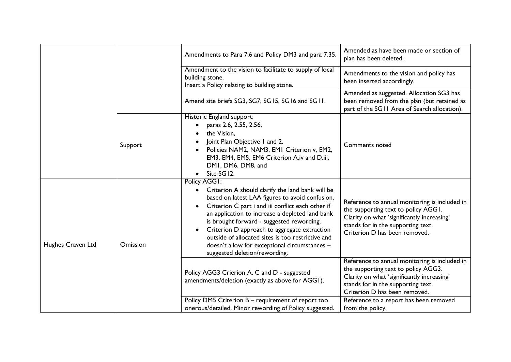|                   |          | Amendments to Para 7.6 and Policy DM3 and para 7.35.                                                                                                                                                                                                                                                                                                                                                                                                            | Amended as have been made or section of<br>plan has been deleted.                                                                                                                                         |
|-------------------|----------|-----------------------------------------------------------------------------------------------------------------------------------------------------------------------------------------------------------------------------------------------------------------------------------------------------------------------------------------------------------------------------------------------------------------------------------------------------------------|-----------------------------------------------------------------------------------------------------------------------------------------------------------------------------------------------------------|
|                   |          | Amendment to the vision to facilitate to supply of local<br>building stone.<br>Insert a Policy relating to building stone.                                                                                                                                                                                                                                                                                                                                      | Amendments to the vision and policy has<br>been inserted accordingly.                                                                                                                                     |
|                   |          | Amend site briefs SG3, SG7, SG15, SG16 and SG11.                                                                                                                                                                                                                                                                                                                                                                                                                | Amended as suggested. Allocation SG3 has<br>been removed from the plan (but retained as<br>part of the SG11 Area of Search allocation).                                                                   |
|                   | Support  | Historic England support:<br>paras 2.6, 2.55, 2.56,<br>the Vision,<br>Joint Plan Objective 1 and 2,<br>Policies NAM2, NAM3, EMI Criterion v, EM2,<br>EM3, EM4, EM5, EM6 Criterion A.iv and D.iii,<br>DMI, DM6, DM8, and<br>Site SG12.                                                                                                                                                                                                                           | Comments noted                                                                                                                                                                                            |
| Hughes Craven Ltd | Omission | Policy AGGI:<br>Criterion A should clarify the land bank will be<br>based on latest LAA figures to avoid confusion.<br>Criterion C part i and iii conflict each other if<br>an application to increase a depleted land bank<br>is brought forward - suggested rewording.<br>Criterion D approach to aggregate extraction<br>outside of allocated sites is too restrictive and<br>doesn't allow for exceptional circumstances -<br>suggested deletion/rewording. | Reference to annual monitoring is included in<br>the supporting text to policy AGGI.<br>Clarity on what 'significantly increasing'<br>stands for in the supporting text.<br>Criterion D has been removed. |
|                   |          | Policy AGG3 Crierion A, C and D - suggested<br>amendments/deletion (exactly as above for AGGI).                                                                                                                                                                                                                                                                                                                                                                 | Reference to annual monitoring is included in<br>the supporting text to policy AGG3.<br>Clarity on what 'significantly increasing'<br>stands for in the supporting text.<br>Criterion D has been removed. |
|                   |          | Policy DM5 Criterion B - requirement of report too<br>onerous/detailed. Minor rewording of Policy suggested.                                                                                                                                                                                                                                                                                                                                                    | Reference to a report has been removed<br>from the policy.                                                                                                                                                |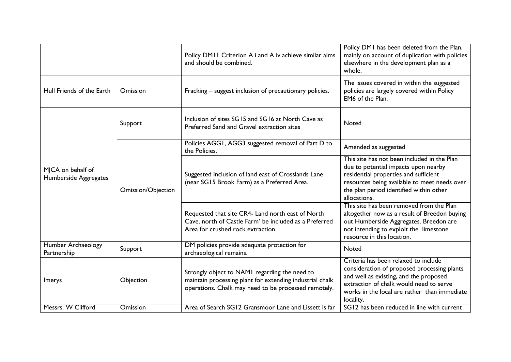|                                            |                    | Policy DMII Criterion A i and A iv achieve similar aims<br>and should be combined.                                                                                | Policy DMI has been deleted from the Plan,<br>mainly on account of duplication with policies<br>elsewhere in the development plan as a<br>whole.                                                                                        |
|--------------------------------------------|--------------------|-------------------------------------------------------------------------------------------------------------------------------------------------------------------|-----------------------------------------------------------------------------------------------------------------------------------------------------------------------------------------------------------------------------------------|
| Hull Friends of the Earth                  | Omission           | Fracking – suggest inclusion of precautionary policies.                                                                                                           | The issues covered in within the suggested<br>policies are largely covered within Policy<br>EM6 of the Plan.                                                                                                                            |
|                                            | Support            | Inclusion of sites SG15 and SG16 at North Cave as<br>Preferred Sand and Gravel extraction sites                                                                   | <b>Noted</b>                                                                                                                                                                                                                            |
|                                            |                    | Policies AGG1, AGG3 suggested removal of Part D to<br>the Policies.                                                                                               | Amended as suggested                                                                                                                                                                                                                    |
| MJCA on behalf of<br>Humberside Aggregates | Omission/Objection | Suggested inclusion of land east of Crosslands Lane<br>(near SG15 Brook Farm) as a Preferred Area.                                                                | This site has not been included in the Plan<br>due to potential impacts upon nearby<br>residential properties and sufficient<br>resources being available to meet needs over<br>the plan period identified within other<br>allocations. |
|                                            |                    | Requested that site CR4- Land north east of North<br>Cave, north of Castle Farm' be included as a Preferred<br>Area for crushed rock extraction.                  | This site has been removed from the Plan<br>altogether now as a result of Breedon buying<br>out Humberside Aggregates. Breedon are<br>not intending to exploit the limestone<br>resource in this location.                              |
| Humber Archaeology<br>Partnership          | Support            | DM policies provide adequate protection for<br>archaeological remains.                                                                                            | Noted                                                                                                                                                                                                                                   |
| <b>Imerys</b>                              | Objection          | Strongly object to NAMI regarding the need to<br>maintain processing plant for extending industrial chalk<br>operations. Chalk may need to be processed remotely. | Criteria has been relaxed to include<br>consideration of proposed processing plants<br>and well as existing, and the proposed<br>extraction of chalk would need to serve<br>works in the local are rather than immediate<br>locality.   |
| Messrs. W Clifford                         | Omission           | Area of Search SG12 Gransmoor Lane and Lissett is far                                                                                                             | SG12 has been reduced in line with current                                                                                                                                                                                              |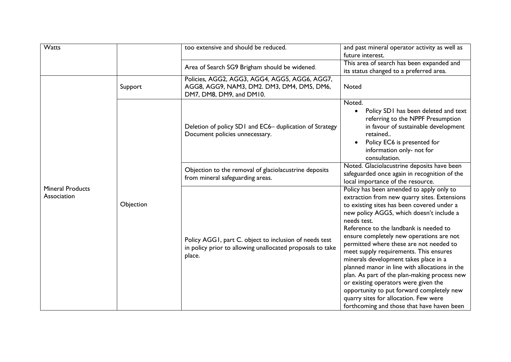| Watts                                  |           | too extensive and should be reduced.                                                                                          | and past mineral operator activity as well as<br>future interest.                                                                                                                                                                                                                                                                                                                                                                                                                                                                                                                                                                                                                                  |
|----------------------------------------|-----------|-------------------------------------------------------------------------------------------------------------------------------|----------------------------------------------------------------------------------------------------------------------------------------------------------------------------------------------------------------------------------------------------------------------------------------------------------------------------------------------------------------------------------------------------------------------------------------------------------------------------------------------------------------------------------------------------------------------------------------------------------------------------------------------------------------------------------------------------|
|                                        |           | Area of Search SG9 Brigham should be widened.                                                                                 | This area of search has been expanded and<br>its status changed to a preferred area.                                                                                                                                                                                                                                                                                                                                                                                                                                                                                                                                                                                                               |
| <b>Mineral Products</b><br>Association | Support   | Policies, AGG2, AGG3, AGG4, AGG5, AGG6, AGG7,<br>AGG8, AGG9, NAM3, DM2. DM3, DM4, DM5, DM6,<br>DM7, DM8, DM9, and DM10.       | Noted                                                                                                                                                                                                                                                                                                                                                                                                                                                                                                                                                                                                                                                                                              |
|                                        |           | Deletion of policy SD1 and EC6- duplication of Strategy<br>Document policies unnecessary.                                     | Noted.<br>Policy SD1 has been deleted and text<br>referring to the NPPF Presumption<br>in favour of sustainable development<br>retained<br>Policy EC6 is presented for<br>information only- not for<br>consultation.                                                                                                                                                                                                                                                                                                                                                                                                                                                                               |
|                                        |           | Objection to the removal of glaciolacustrine deposits<br>from mineral safeguarding areas.                                     | Noted. Glaciolacustrine deposits have been<br>safeguarded once again in recognition of the<br>local importance of the resource.                                                                                                                                                                                                                                                                                                                                                                                                                                                                                                                                                                    |
|                                        | Objection | Policy AGGI, part C. object to inclusion of needs test<br>in policy prior to allowing unallocated proposals to take<br>place. | Policy has been amended to apply only to<br>extraction from new quarry sites. Extensions<br>to existing sites has been covered under a<br>new policy AGG5, which doesn't include a<br>needs test.<br>Reference to the landbank is needed to<br>ensure completely new operations are not<br>permitted where these are not needed to<br>meet supply requirements. This ensures<br>minerals development takes place in a<br>planned manor in line with allocations in the<br>plan. As part of the plan-making process new<br>or existing operators were given the<br>opportunity to put forward completely new<br>quarry sites for allocation. Few were<br>forthcoming and those that have haven been |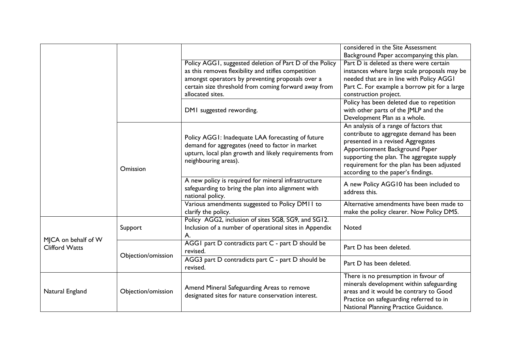|                       |                    |                                                                                                                               | considered in the Site Assessment            |
|-----------------------|--------------------|-------------------------------------------------------------------------------------------------------------------------------|----------------------------------------------|
|                       |                    |                                                                                                                               | Background Paper accompanying this plan.     |
|                       |                    | Policy AGGI, suggested deletion of Part D of the Policy                                                                       | Part D is deleted as there were certain      |
|                       |                    | as this removes flexibility and stifles competition                                                                           | instances where large scale proposals may be |
|                       |                    | amongst operators by preventing proposals over a                                                                              | needed that are in line with Policy AGGI     |
|                       |                    | certain size threshold from coming forward away from                                                                          | Part C. For example a borrow pit for a large |
|                       |                    | allocated sites.                                                                                                              | construction project.                        |
|                       |                    |                                                                                                                               | Policy has been deleted due to repetition    |
|                       |                    | DMI suggested rewording.                                                                                                      | with other parts of the JMLP and the         |
|                       |                    |                                                                                                                               | Development Plan as a whole.                 |
|                       |                    |                                                                                                                               | An analysis of a range of factors that       |
|                       |                    | Policy AGGI: Inadequate LAA forecasting of future                                                                             | contribute to aggregate demand has been      |
|                       |                    | demand for aggregates (need to factor in market                                                                               | presented in a revised Aggregates            |
|                       |                    | upturn, local plan growth and likely requirements from<br>neighbouring areas).                                                | Apportionment Background Paper               |
|                       | Omission           |                                                                                                                               | supporting the plan. The aggregate supply    |
|                       |                    |                                                                                                                               | requirement for the plan has been adjusted   |
|                       |                    |                                                                                                                               | according to the paper's findings.           |
|                       |                    | A new policy is required for mineral infrastructure<br>safeguarding to bring the plan into alignment with<br>national policy. | A new Policy AGG10 has been included to      |
|                       |                    |                                                                                                                               | address this.                                |
|                       |                    | Various amendments suggested to Policy DM11 to                                                                                | Alternative amendments have been made to     |
|                       |                    | clarify the policy.                                                                                                           | make the policy clearer. Now Policy DM5.     |
|                       |                    | Policy AGG2, inclusion of sites SG8, SG9, and SG12.                                                                           |                                              |
|                       | Support            | Inclusion of a number of operational sites in Appendix                                                                        | Noted                                        |
| MJCA on behalf of W   |                    | А.                                                                                                                            |                                              |
| <b>Clifford Watts</b> |                    | AGGI part D contradicts part C - part D should be                                                                             | Part D has been deleted.                     |
|                       | Objection/omission | revised.                                                                                                                      |                                              |
|                       |                    | AGG3 part D contradicts part C - part D should be                                                                             | Part D has been deleted.                     |
|                       |                    | revised.                                                                                                                      |                                              |
| Natural England       |                    |                                                                                                                               | There is no presumption in favour of         |
|                       | Objection/omission | Amend Mineral Safeguarding Areas to remove<br>designated sites for nature conservation interest.                              | minerals development within safeguarding     |
|                       |                    |                                                                                                                               | areas and it would be contrary to Good       |
|                       |                    |                                                                                                                               | Practice on safeguarding referred to in      |
|                       |                    |                                                                                                                               | National Planning Practice Guidance.         |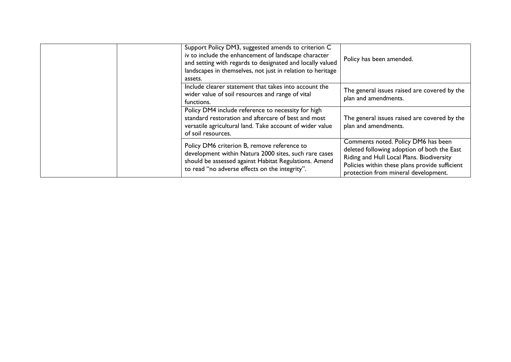| Support Policy DM3, suggested amends to criterion C<br>iv to include the enhancement of landscape character<br>and setting with regards to designated and locally valued<br>landscapes in themselves, not just in relation to heritage<br>assets. | Policy has been amended.                                                                                                                                                                                                  |
|---------------------------------------------------------------------------------------------------------------------------------------------------------------------------------------------------------------------------------------------------|---------------------------------------------------------------------------------------------------------------------------------------------------------------------------------------------------------------------------|
| Include clearer statement that takes into account the<br>wider value of soil resources and range of vital<br>functions.                                                                                                                           | The general issues raised are covered by the<br>plan and amendments.                                                                                                                                                      |
| Policy DM4 include reference to necessity for high<br>standard restoration and aftercare of best and most<br>versatile agricultural land. Take account of wider value<br>of soil resources.                                                       | The general issues raised are covered by the<br>plan and amendments.                                                                                                                                                      |
| Policy DM6 criterion B, remove reference to<br>development within Natura 2000 sites, such rare cases<br>should be assessed against Habitat Regulations. Amend<br>to read "no adverse effects on the integrity".                                   | Comments noted. Policy DM6 has been<br>deleted following adoption of both the East<br>Riding and Hull Local Plans. Biodiversity<br>Policies within these plans provide sufficient<br>protection from mineral development. |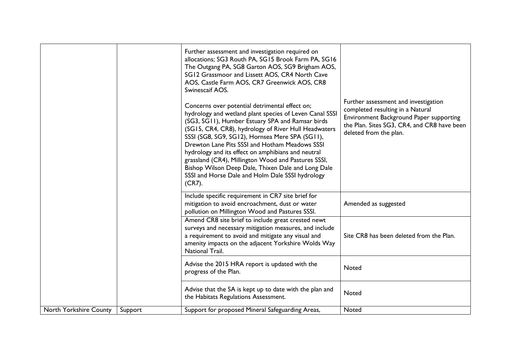|                        |         | Further assessment and investigation required on<br>allocations; SG3 Routh PA, SG15 Brook Farm PA, SG16<br>The Outgang PA, SG8 Garton AOS, SG9 Brigham AOS,<br>SG12 Grassmoor and Lissett AOS, CR4 North Cave<br>AOS, Castle Farm AOS, CR7 Greenwick AOS, CR8<br>Swinescaif AOS.                                                                                                                                                                                                                                                                            | Further assessment and investigation<br>completed resulting in a Natural<br>Environment Background Paper supporting<br>the Plan. Sites SG3, CR4, and CR8 have been<br>deleted from the plan. |
|------------------------|---------|-------------------------------------------------------------------------------------------------------------------------------------------------------------------------------------------------------------------------------------------------------------------------------------------------------------------------------------------------------------------------------------------------------------------------------------------------------------------------------------------------------------------------------------------------------------|----------------------------------------------------------------------------------------------------------------------------------------------------------------------------------------------|
|                        |         | Concerns over potential detrimental effect on;<br>hydrology and wetland plant species of Leven Canal SSSI<br>(SG3, SG11), Humber Estuary SPA and Ramsar birds<br>(SG15, CR4, CR8), hydrology of River Hull Headwaters<br>SSSI (SG8, SG9, SG12), Hornsea Mere SPA (SG11),<br>Drewton Lane Pits SSSI and Hotham Meadows SSSI<br>hydrology and its effect on amphibians and neutral<br>grassland (CR4), Millington Wood and Pastures SSSI,<br>Bishop Wilson Deep Dale, Thixen Dale and Long Dale<br>SSSI and Horse Dale and Holm Dale SSSI hydrology<br>(CR7). |                                                                                                                                                                                              |
|                        |         | Include specific requirement in CR7 site brief for<br>mitigation to avoid encroachment, dust or water<br>pollution on Millington Wood and Pastures SSSI.                                                                                                                                                                                                                                                                                                                                                                                                    | Amended as suggested                                                                                                                                                                         |
|                        |         | Amend CR8 site brief to include great crested newt<br>surveys and necessary mitigation measures, and include<br>a requirement to avoid and mitigate any visual and<br>amenity impacts on the adjacent Yorkshire Wolds Way<br>National Trail.                                                                                                                                                                                                                                                                                                                | Site CR8 has been deleted from the Plan.                                                                                                                                                     |
|                        |         | Advise the 2015 HRA report is updated with the<br>progress of the Plan.                                                                                                                                                                                                                                                                                                                                                                                                                                                                                     | Noted                                                                                                                                                                                        |
|                        |         | Advise that the SA is kept up to date with the plan and<br>the Habitats Regulations Assessment.                                                                                                                                                                                                                                                                                                                                                                                                                                                             | Noted                                                                                                                                                                                        |
| North Yorkshire County | Support | Support for proposed Mineral Safeguarding Areas,                                                                                                                                                                                                                                                                                                                                                                                                                                                                                                            | Noted                                                                                                                                                                                        |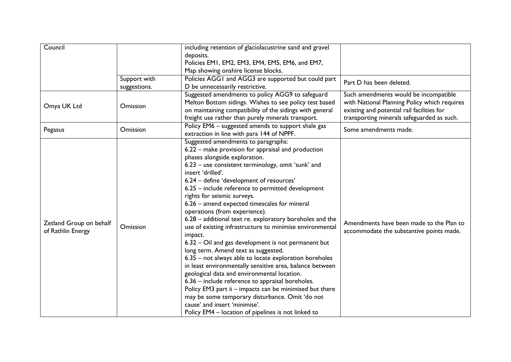| Council                 |              | including retention of glaciolacustrine sand and gravel  |                                              |
|-------------------------|--------------|----------------------------------------------------------|----------------------------------------------|
|                         |              | deposits.                                                |                                              |
|                         |              | Policies EM1, EM2, EM3, EM4, EM5, EM6, and EM7,          |                                              |
|                         |              | Map showing onshire license blocks.                      |                                              |
|                         | Support with | Policies AGGI and AGG3 are supported but could part      | Part D has been deleted.                     |
|                         | suggestions. | D be unnecessarily restrictive.                          |                                              |
|                         |              | Suggested amendments to policy AGG9 to safeguard         | Such amendments would be incompatible        |
|                         |              | Melton Bottom sidings. Wishes to see policy test based   | with National Planning Policy which requires |
| Omya UK Ltd             | Omission     | on maintaining compatibility of the sidings with general | existing and potential rail facilities for   |
|                         |              | freight use rather than purely minerals transport.       | transporting minerals safeguarded as such.   |
|                         |              | Policy EM6 - suggested amends to support shale gas       |                                              |
| Pegasus                 | Omission     | extraction in line with para 144 of NPPF.                | Some amendments made.                        |
|                         |              | Suggested amendments to paragraphs:                      |                                              |
|                         |              | 6.22 – make provision for appraisal and production       |                                              |
|                         |              | phases alongside exploration.                            |                                              |
|                         |              | 6.23 - use consistent terminology, omit 'sunk' and       |                                              |
|                         |              | insert 'drilled'.                                        |                                              |
|                         |              | 6.24 - define 'development of resources'                 |                                              |
|                         |              | 6.25 - include reference to permitted development        |                                              |
|                         | Omission     | rights for seismic surveys.                              |                                              |
|                         |              | 6.26 - amend expected timescales for mineral             |                                              |
|                         |              | operations (from experience).                            |                                              |
|                         |              | 6.28 - additional text re. exploratory boreholes and the |                                              |
| Zetland Group on behalf |              | use of existing infrastructure to minimise environmental | Amendments have been made to the Plan to     |
| of Rathlin Energy       |              | impact.                                                  | accommodate the substantive points made.     |
|                         |              | 6.32 – Oil and gas development is not permanent but      |                                              |
|                         |              |                                                          |                                              |
|                         |              | long term. Amend text as suggested.                      |                                              |
|                         |              | 6.35 - not always able to locate exploration boreholes   |                                              |
|                         |              | in least environmentally sensitive area, balance between |                                              |
|                         |              | geological data and environmental location.              |                                              |
|                         |              | 6.36 - include reference to appraisal boreholes.         |                                              |
|                         |              | Policy EM3 part ii - impacts can be minimised but there  |                                              |
|                         |              | may be some temporary disturbance. Omit 'do not          |                                              |
|                         |              | cause' and insert 'minimise'.                            |                                              |
|                         |              | Policy EM4 - location of pipelines is not linked to      |                                              |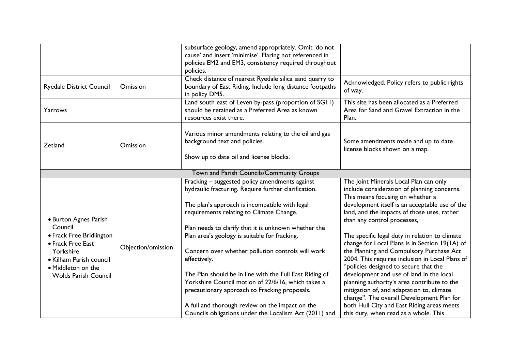|                                                   |                    | subsurface geology, amend appropriately. Omit 'do not    |                                                 |
|---------------------------------------------------|--------------------|----------------------------------------------------------|-------------------------------------------------|
|                                                   |                    | cause' and insert 'minimise'. Flaring not referenced in  |                                                 |
|                                                   |                    | policies EM2 and EM3, consistency required throughout    |                                                 |
|                                                   |                    | policies.                                                |                                                 |
|                                                   | Omission           | Check distance of nearest Ryedale silica sand quarry to  | Acknowledged. Policy refers to public rights    |
| <b>Ryedale District Council</b>                   |                    | boundary of East Riding. Include long distance footpaths | of way.                                         |
|                                                   |                    | in policy DM5.                                           |                                                 |
|                                                   |                    | Land south east of Leven by-pass (proportion of SG11)    | This site has been allocated as a Preferred     |
| Yarrows                                           |                    | should be retained as a Preferred Area as known          | Area for Sand and Gravel Extraction in the      |
|                                                   |                    | resources exist there.                                   | Plan.                                           |
|                                                   |                    |                                                          |                                                 |
|                                                   |                    | Various minor amendments relating to the oil and gas     |                                                 |
| Zetland                                           | Omission           | background text and policies.                            | Some amendments made and up to date             |
|                                                   |                    |                                                          | license blocks shown on a map.                  |
|                                                   |                    | Show up to date oil and license blocks.                  |                                                 |
|                                                   |                    | Town and Parish Councils/Community Groups                |                                                 |
|                                                   |                    | Fracking - suggested policy amendments against           | The Joint Minerals Local Plan can only          |
|                                                   |                    | hydraulic fracturing. Require further clarification.     | include consideration of planning concerns.     |
|                                                   |                    |                                                          | This means focusing on whether a                |
|                                                   |                    | The plan's approach is incompatible with legal           | development itself is an acceptable use of the  |
|                                                   |                    | requirements relating to Climate Change.                 | land, and the impacts of those uses, rather     |
| • Burton Agnes Parish                             |                    |                                                          | than any control processes,                     |
| Council                                           | Objection/omission | Plan needs to clarify that it is unknown whether the     |                                                 |
| • Frack Free Bridlington<br>• Frack Free East     |                    | Plan area's geology is suitable for fracking.            | The specific legal duty in relation to climate  |
|                                                   |                    |                                                          | change for Local Plans is in Section 19(1A) of  |
| Yorkshire                                         |                    | Concern over whether pollution controls will work        | the Planning and Compulsory Purchase Act        |
| • Kilham Parish council                           |                    | effectively.                                             | 2004. This requires inclusion in Local Plans of |
| · Middleton on the<br><b>Wolds Parish Council</b> |                    |                                                          | "policies designed to secure that the           |
|                                                   |                    | The Plan should be in line with the Full East Riding of  | development and use of land in the local        |
|                                                   |                    | Yorkshire Council motion of 22/6/16, which takes a       | planning authority's area contribute to the     |
|                                                   |                    | precautionary approach to Fracking proposals.            | mitigation of, and adaptation to, climate       |
|                                                   |                    |                                                          | change". The overall Development Plan for       |
|                                                   |                    | A full and thorough review on the impact on the          | both Hull City and East Riding areas meets      |
|                                                   |                    | Councils obligations under the Localism Act (2011) and   | this duty, when read as a whole. This           |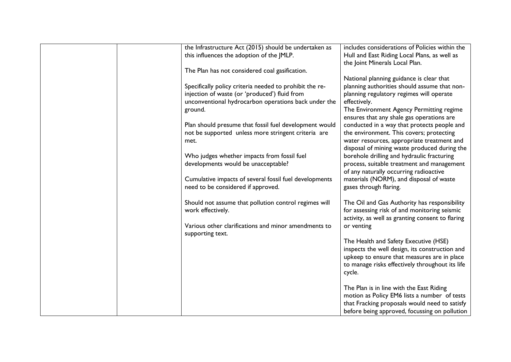| the Infrastructure Act (2015) should be undertaken as<br>this influences the adoption of the JMLP.       | includes considerations of Policies within the<br>Hull and East Riding Local Plans, as well as |
|----------------------------------------------------------------------------------------------------------|------------------------------------------------------------------------------------------------|
|                                                                                                          | the Joint Minerals Local Plan.                                                                 |
| The Plan has not considered coal gasification.                                                           |                                                                                                |
|                                                                                                          | National planning guidance is clear that                                                       |
| Specifically policy criteria needed to prohibit the re-<br>injection of waste (or 'produced') fluid from | planning authorities should assume that non-<br>planning regulatory regimes will operate       |
| unconventional hydrocarbon operations back under the                                                     | effectively.                                                                                   |
| ground.                                                                                                  | The Environment Agency Permitting regime                                                       |
|                                                                                                          | ensures that any shale gas operations are                                                      |
| Plan should presume that fossil fuel development would                                                   | conducted in a way that protects people and                                                    |
| not be supported unless more stringent criteria are<br>met.                                              | the environment. This covers; protecting<br>water resources, appropriate treatment and         |
|                                                                                                          | disposal of mining waste produced during the                                                   |
| Who judges whether impacts from fossil fuel                                                              | borehole drilling and hydraulic fracturing                                                     |
| developments would be unacceptable?                                                                      | process, suitable treatment and management                                                     |
| Cumulative impacts of several fossil fuel developments                                                   | of any naturally occurring radioactive<br>materials (NORM), and disposal of waste              |
| need to be considered if approved.                                                                       | gases through flaring.                                                                         |
|                                                                                                          |                                                                                                |
| Should not assume that pollution control regimes will<br>work effectively.                               | The Oil and Gas Authority has responsibility<br>for assessing risk of and monitoring seismic   |
|                                                                                                          | activity, as well as granting consent to flaring                                               |
| Various other clarifications and minor amendments to                                                     | or venting                                                                                     |
| supporting text.                                                                                         |                                                                                                |
|                                                                                                          | The Health and Safety Executive (HSE)<br>inspects the well design, its construction and        |
|                                                                                                          | upkeep to ensure that measures are in place                                                    |
|                                                                                                          | to manage risks effectively throughout its life                                                |
|                                                                                                          | cycle.                                                                                         |
|                                                                                                          | The Plan is in line with the East Riding                                                       |
|                                                                                                          | motion as Policy EM6 lists a number of tests                                                   |
|                                                                                                          | that Fracking proposals would need to satisfy                                                  |
|                                                                                                          | before being approved, focussing on pollution                                                  |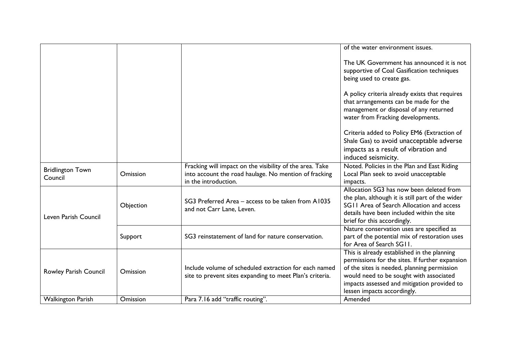|                                    |           |                                                                                                                                           | of the water environment issues.                                                                                                                                                                                                                                       |
|------------------------------------|-----------|-------------------------------------------------------------------------------------------------------------------------------------------|------------------------------------------------------------------------------------------------------------------------------------------------------------------------------------------------------------------------------------------------------------------------|
|                                    |           |                                                                                                                                           | The UK Government has announced it is not<br>supportive of Coal Gasification techniques<br>being used to create gas.                                                                                                                                                   |
|                                    |           |                                                                                                                                           | A policy criteria already exists that requires<br>that arrangements can be made for the<br>management or disposal of any returned<br>water from Fracking developments.                                                                                                 |
|                                    |           |                                                                                                                                           | Criteria added to Policy EM6 (Extraction of<br>Shale Gas) to avoid unacceptable adverse<br>impacts as a result of vibration and<br>induced seismicity.                                                                                                                 |
| <b>Bridlington Town</b><br>Council | Omission  | Fracking will impact on the visibility of the area. Take<br>into account the road haulage. No mention of fracking<br>in the introduction. | Noted. Policies in the Plan and East Riding<br>Local Plan seek to avoid unacceptable<br>impacts.                                                                                                                                                                       |
| Leven Parish Council               | Objection | SG3 Preferred Area - access to be taken from A1035<br>and not Carr Lane, Leven.                                                           | Allocation SG3 has now been deleted from<br>the plan, although it is still part of the wider<br>SGII Area of Search Allocation and access<br>details have been included within the site<br>brief for this accordingly.                                                 |
|                                    | Support   | SG3 reinstatement of land for nature conservation.                                                                                        | Nature conservation uses are specified as<br>part of the potential mix of restoration uses<br>for Area of Search SG11.                                                                                                                                                 |
| Rowley Parish Council              | Omission  | Include volume of scheduled extraction for each named<br>site to prevent sites expanding to meet Plan's criteria.                         | This is already established in the planning<br>permissions for the sites. If further expansion<br>of the sites is needed, planning permission<br>would need to be sought with associated<br>impacts assessed and mitigation provided to<br>lessen impacts accordingly. |
| <b>Walkington Parish</b>           | Omission  | Para 7.16 add "traffic routing".                                                                                                          | Amended                                                                                                                                                                                                                                                                |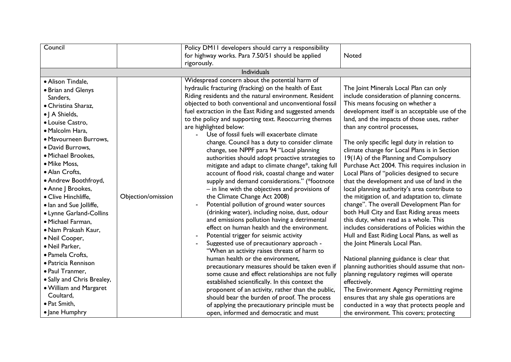| Council                                                                                                                                                                                                                                                                                                                                                                                                                                                                                                                                                                                                                 |                    | Policy DM11 developers should carry a responsibility<br>for highway works. Para 7.50/51 should be applied                                                                                                                                                                                                                                                                                                                                                                                                                                                                                                                                                                                                                                                                                                                                                                                                                                                                                                                                                                                                                                                                                                                                                                                                                                                                                                                                                                                                                                                      | Noted                                                                                                                                                                                                                                                                                                                                                                                                                                                                                                                                                                                                                                                                                                                                                                                                                                                                                                                                                                                                                                                                                                                                                                                                                                                                  |
|-------------------------------------------------------------------------------------------------------------------------------------------------------------------------------------------------------------------------------------------------------------------------------------------------------------------------------------------------------------------------------------------------------------------------------------------------------------------------------------------------------------------------------------------------------------------------------------------------------------------------|--------------------|----------------------------------------------------------------------------------------------------------------------------------------------------------------------------------------------------------------------------------------------------------------------------------------------------------------------------------------------------------------------------------------------------------------------------------------------------------------------------------------------------------------------------------------------------------------------------------------------------------------------------------------------------------------------------------------------------------------------------------------------------------------------------------------------------------------------------------------------------------------------------------------------------------------------------------------------------------------------------------------------------------------------------------------------------------------------------------------------------------------------------------------------------------------------------------------------------------------------------------------------------------------------------------------------------------------------------------------------------------------------------------------------------------------------------------------------------------------------------------------------------------------------------------------------------------------|------------------------------------------------------------------------------------------------------------------------------------------------------------------------------------------------------------------------------------------------------------------------------------------------------------------------------------------------------------------------------------------------------------------------------------------------------------------------------------------------------------------------------------------------------------------------------------------------------------------------------------------------------------------------------------------------------------------------------------------------------------------------------------------------------------------------------------------------------------------------------------------------------------------------------------------------------------------------------------------------------------------------------------------------------------------------------------------------------------------------------------------------------------------------------------------------------------------------------------------------------------------------|
|                                                                                                                                                                                                                                                                                                                                                                                                                                                                                                                                                                                                                         |                    | rigorously.                                                                                                                                                                                                                                                                                                                                                                                                                                                                                                                                                                                                                                                                                                                                                                                                                                                                                                                                                                                                                                                                                                                                                                                                                                                                                                                                                                                                                                                                                                                                                    |                                                                                                                                                                                                                                                                                                                                                                                                                                                                                                                                                                                                                                                                                                                                                                                                                                                                                                                                                                                                                                                                                                                                                                                                                                                                        |
|                                                                                                                                                                                                                                                                                                                                                                                                                                                                                                                                                                                                                         |                    | Individuals                                                                                                                                                                                                                                                                                                                                                                                                                                                                                                                                                                                                                                                                                                                                                                                                                                                                                                                                                                                                                                                                                                                                                                                                                                                                                                                                                                                                                                                                                                                                                    |                                                                                                                                                                                                                                                                                                                                                                                                                                                                                                                                                                                                                                                                                                                                                                                                                                                                                                                                                                                                                                                                                                                                                                                                                                                                        |
| · Alison Tindale,<br>• Brian and Glenys<br>Sanders,<br>• Christina Sharaz,<br>•   A Shields,<br>· Louise Castro,<br>· Malcolm Hara,<br>· Mavourneen Burrows,<br>· David Burrows,<br>· Michael Brookes,<br>• Mike Moss,<br>· Alan Crofts,<br>• Andrew Boothfroyd,<br>• Anne J Brookes,<br>· Clive Hinchliffe,<br>· lan and Sue Jolliffe,<br>• Lynne Garland-Collins<br>· Michael Farman,<br>· Nam Prakash Kaur,<br>· Neil Cooper,<br>· Neil Parker,<br>· Pamela Crofts,<br>· Patricia Rennison<br>· Paul Tranmer,<br>• Sally and Chris Brealey,<br>. William and Margaret<br>Coultard,<br>• Pat Smith,<br>· Jane Humphry | Objection/omission | Widespread concern about the potential harm of<br>hydraulic fracturing (fracking) on the health of East<br>Riding residents and the natural environment. Resident<br>objected to both conventional and unconventional fossil<br>fuel extraction in the East Riding and suggested amends<br>to the policy and supporting text. Reoccurring themes<br>are highlighted below:<br>Use of fossil fuels will exacerbate climate<br>change. Council has a duty to consider climate<br>change, see NPPF para 94 "Local planning<br>authorities should adopt proactive strategies to<br>mitigate and adapt to climate change*, taking full<br>account of flood risk, coastal change and water<br>supply and demand considerations." (*footnote<br>- in line with the objectives and provisions of<br>the Climate Change Act 2008)<br>Potential pollution of ground water sources<br>(drinking water), including noise, dust, odour<br>and emissions pollution having a detrimental<br>effect on human health and the environment.<br>Potential trigger for seismic activity<br>Suggested use of precautionary approach -<br>"When an activity raises threats of harm to<br>human health or the environment,<br>precautionary measures should be taken even if<br>some cause and effect relationships are not fully<br>established scientifically. In this context the<br>proponent of an activity, rather than the public,<br>should bear the burden of proof. The process<br>of applying the precautionary principle must be<br>open, informed and democratic and must | The Joint Minerals Local Plan can only<br>include consideration of planning concerns.<br>This means focusing on whether a<br>development itself is an acceptable use of the<br>land, and the impacts of those uses, rather<br>than any control processes,<br>The only specific legal duty in relation to<br>climate change for Local Plans is in Section<br>19(1A) of the Planning and Compulsory<br>Purchase Act 2004. This requires inclusion in<br>Local Plans of "policies designed to secure<br>that the development and use of land in the<br>local planning authority's area contribute to<br>the mitigation of, and adaptation to, climate<br>change". The overall Development Plan for<br>both Hull City and East Riding areas meets<br>this duty, when read as a whole. This<br>includes considerations of Policies within the<br>Hull and East Riding Local Plans, as well as<br>the Joint Minerals Local Plan.<br>National planning guidance is clear that<br>planning authorities should assume that non-<br>planning regulatory regimes will operate<br>effectively.<br>The Environment Agency Permitting regime<br>ensures that any shale gas operations are<br>conducted in a way that protects people and<br>the environment. This covers; protecting |